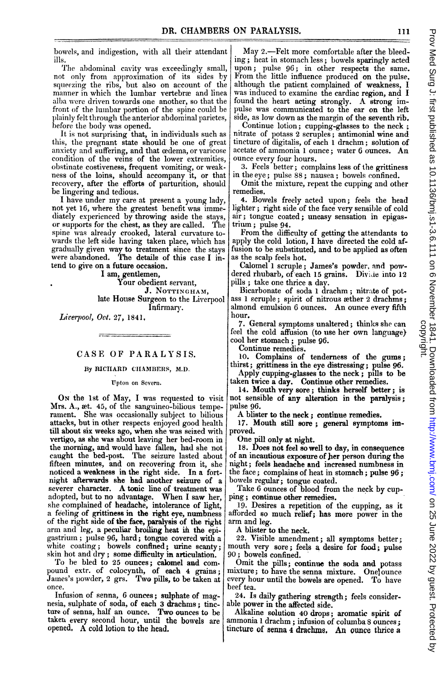bowels, and indigestion, with all their attendant ills.

The abdominal cavity was exceedingly small, not only from approximation of its sides by squeezing the ribs, but also on account of the manner in which the lumbar vertebræ and linea alba were driven towards one another, so that the front of the lumbar portion of the spine could be plainly felt through the anterior abdominal parietes, before the body was opened.

It is not surprising that, in individuals such as this, the pregnant state should be one of great anxiety and suffering, and that cedema, or varicose condition of the veins of the lower extremities, obstinate costiveness, frequent vomiting, or weakness of the loins, should accompany it, or that recovery, after the efforts of parturition, should be lingering and tedious.

<sup>I</sup> have under my care at present <sup>a</sup> young lady, not yet 16, where the greatest benefit was immediately experienced by throwing aside the stays, or supports for the chest, as they are called. The spine was already crooked, lateral curvature towards the left side having taken place, which has gradually given way to treatment since the stays were abandoned. The details of this case <sup>I</sup> intend to give on a future occasion.

I am, gentlemen,

Your obedient servant, J. NOTTINGHAM, late House Surgeon to the Liverpool Infirmary.

Liverpool, Oct. 27, 1841,

## CASE OF PARALYSIS.

## By RICHARD CHAMBERS, M.D.

Upton on Severn.

Mrs. A., wt. 45, of the sanguineo-bilious temperament. She was occasionally subject to bilious attacks, but in other respects enjoyed good health till about six weeks ago, when she was seized with vertigo, as she was about leaving her bed-room in the morning, and would have fallen, had she not caught the bed-post. The seizure lasted about fifteen minutes, and on recovering from it, she noticed a weakness in the right side. In a fortnight afterwards she had another seizure of a severer character. A tonic line of treatment was adopted, but to no advantage. When <sup>I</sup> saw her, she complained of headache, intolerance of light, a feeling of grittiness in the right eye, numbness of the right side of the face, paralysis of the right arm and leg, a peculiar broiling heat in the epigastrium; pulse 96, hard; tongue covered with a white coating; bowels confined; urine scanty; skin hot and dry; some difficulty in articulation.

To be bled to 25 ounces; calomel and compound extr. of colocynth, of each 4 grains; James's powder, 2 grs. Two pills, to be taken at once.

Infusion of senna, 6 ounces; sulphate of magnesia, sulphate of soda, of each 3 drachms; tincture of senna, half an ounce. Two ounces to be takeu every second hour, until the bowels are opened, A cold lotion to the head.

May 2.—Felt more comfortable after the bleeding; heat in stomach less; bowels sparingly acted upon; pulse 96; in other respects the same. From the little influence produced on the pulse, although the patient complained of weakness, I was induced to examine the cardiac region, and <sup>I</sup> found the heart acting strongly. A strong impulse was communicated to the ear on the left side, as low down as the margin of the seventh rib.

Continue lotion; cupping-glasses to the neck nitrate of potass 2 scruples; antimonial wine and tincture of digitalis, of each <sup>1</sup> drachm; solution of acetate of ammonia <sup>1</sup> ounce; water <sup>6</sup> ounces. An ounce every four hours.

3. Feels better; complains less of the grittiness in the eye; pulse 88; nausea; bowels confined.

Omit the mixture, repeat the cupping and other remedies.

4. Bowels freely acted upon; feels the head lighter; right side of the face very sensible of cold air; tongue coated; uneasy sensation in epigastrium; pulse 94.

From the difficulty of getting the attendants to apply the cold lotion, I have directed the cold affusion to be substituted, and to be applied as often as the scalp feels hot.

Calomel 1 scruple; James's powder, and powdered rhubarb, of each 15 grains. Divide into 12 pills; take one thrice a day.

Bicarbonate of soda <sup>I</sup> drachm; nitrate of potass <sup>1</sup> scruple; spirit of nitrous wther 2 drachms; almond emulsion 6 ounces. An ounce every fifth hour.

7. General symptoms unaltered; thinks she can feel the cold affusion (to use her own language) cool her stomach; pulse 96.

Continue remedies.

10. Complains of tenderness of the gums; thirst; grittiness in the eye distressing; pulse 96.

Apply cupping-glasses to the neck; pills to be taken twice a day. Continue other remedies.

ON the 1st of May, I was requested to visit not sensible of any alteration in the paralysis; 14. Mouth very sore; thinks herself better; is pulse 96.

A blister to the neck; continue remedies.

17. Mouth still sore; general symptoms improved.

One pill only at night.

18. Does not feel so well to day, in consequence of an incautious exposure of her person during the night; feels headache and increased numbness in the face; complains of heat in stomach; pulse 96; bowels regular; tongue coated.

Take 6 ounces of blood from the neck by cup ping; continue other remedies.

19. Desires a repetition of the cupping, as it afforded so much relief; has more power in the arm and leg.

A blister to the neck.

22. Visible amendment; all symptoms better mouth very sore; feels a desire for food; pulse 90; bowels confined.

Omit the pills; continue the soda and potass mixture; to have the senna mixture. Onel ounce every hour until the bowels are opened. To have beef tea.

24. Is daily gathering strength; feels considerable power in the affected side.

Alkaline solution 40 drops; aromatic spirit of ammonia <sup>1</sup> drachm; infusion of columba <sup>8</sup> ounces; tincture of senna 4 drachms. An ounce thrice a